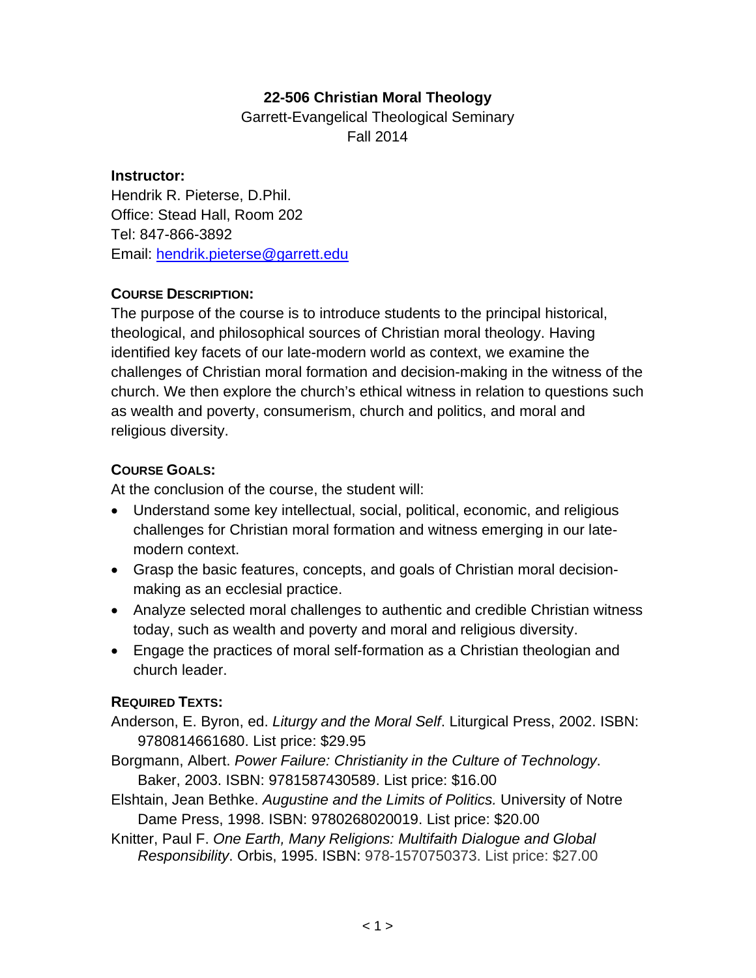# **22-506 Christian Moral Theology**

Garrett-Evangelical Theological Seminary Fall 2014

#### **Instructor:**

Hendrik R. Pieterse, D.Phil. Office: Stead Hall, Room 202 Tel: 847-866-3892 Email: hendrik.pieterse@garrett.edu

### **COURSE DESCRIPTION:**

The purpose of the course is to introduce students to the principal historical, theological, and philosophical sources of Christian moral theology. Having identified key facets of our late-modern world as context, we examine the challenges of Christian moral formation and decision-making in the witness of the church. We then explore the church's ethical witness in relation to questions such as wealth and poverty, consumerism, church and politics, and moral and religious diversity.

### **COURSE GOALS:**

At the conclusion of the course, the student will:

- Understand some key intellectual, social, political, economic, and religious challenges for Christian moral formation and witness emerging in our latemodern context.
- Grasp the basic features, concepts, and goals of Christian moral decisionmaking as an ecclesial practice.
- Analyze selected moral challenges to authentic and credible Christian witness today, such as wealth and poverty and moral and religious diversity.
- Engage the practices of moral self-formation as a Christian theologian and church leader.

## **REQUIRED TEXTS:**

Anderson, E. Byron, ed. *Liturgy and the Moral Self*. Liturgical Press, 2002. ISBN: 9780814661680. List price: \$29.95

Borgmann, Albert. *Power Failure: Christianity in the Culture of Technology*. Baker, 2003. ISBN: 9781587430589. List price: \$16.00

Elshtain, Jean Bethke. *Augustine and the Limits of Politics.* University of Notre Dame Press, 1998. ISBN: 9780268020019. List price: \$20.00

Knitter, Paul F. *One Earth, Many Religions: Multifaith Dialogue and Global Responsibility*. Orbis, 1995. ISBN: 978-1570750373. List price: \$27.00